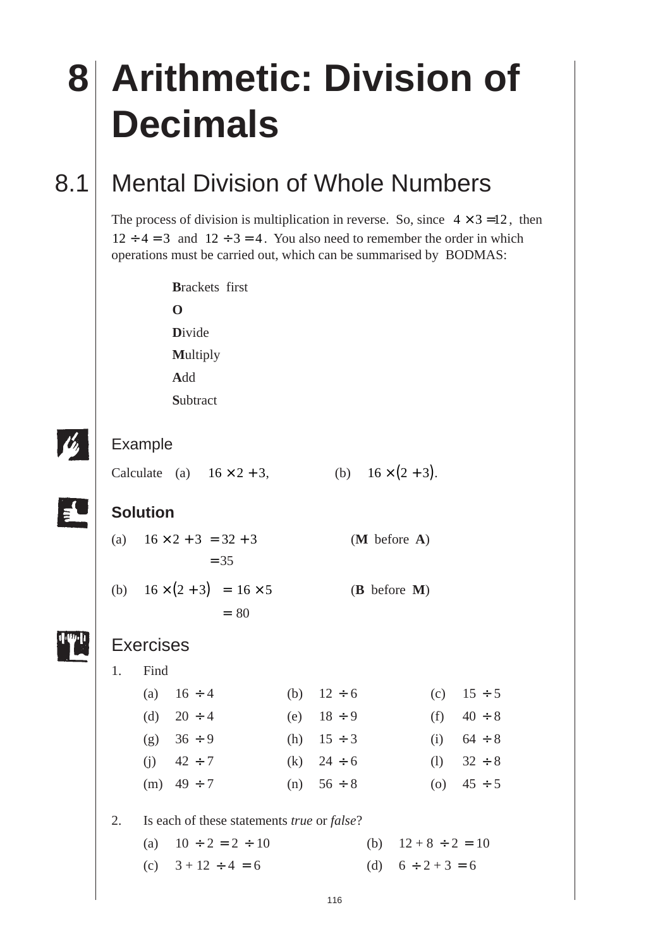# **8 Arithmetic: Division of Decimals** 8.1 Mental Division of Whole Numbers The process of division is multiplication in reverse. So, since  $4 \times 3 = 12$ , then  $12 \div 4 = 3$  and  $12 \div 3 = 4$ . You also need to remember the order in which operations must be carried out, which can be summarised by BODMAS: **B**rackets first **O D**ivide **M**ultiply **A**dd **S**ubtract Example Calculate (a)  $16 \times 2 + 3$ , (b)  $16 \times (2 + 3)$ . **Solution** (a)  $16 \times 2 + 3 = 32 + 3$  (**M** before **A**)  $= 35$ (b)  $16 \times (2 + 3) = 16 \times 5$  (**B** before **M**)  $= 80$ **Exercises** 1. Find (a)  $16 \div 4$  (b)  $12 \div 6$  (c)  $15 \div 5$ (d)  $20 \div 4$  (e)  $18 \div 9$  (f)  $40 \div 8$ (g)  $36 \div 9$  (h)  $15 \div 3$  (i)  $64 \div 8$ (i)  $42 \div 7$  (k)  $24 \div 6$  (l)  $32 \div 8$ (m)  $49 \div 7$  (n)  $56 \div 8$  (o)  $45 \div 5$ 2. Is each of these statements *true* or *false*? (a)  $10 \div 2 = 2 \div 10$  (b)  $12 + 8 \div 2 = 10$

- (c)  $3 + 12 \div 4 = 6$  (d)  $6 \div 2 + 3 = 6$
-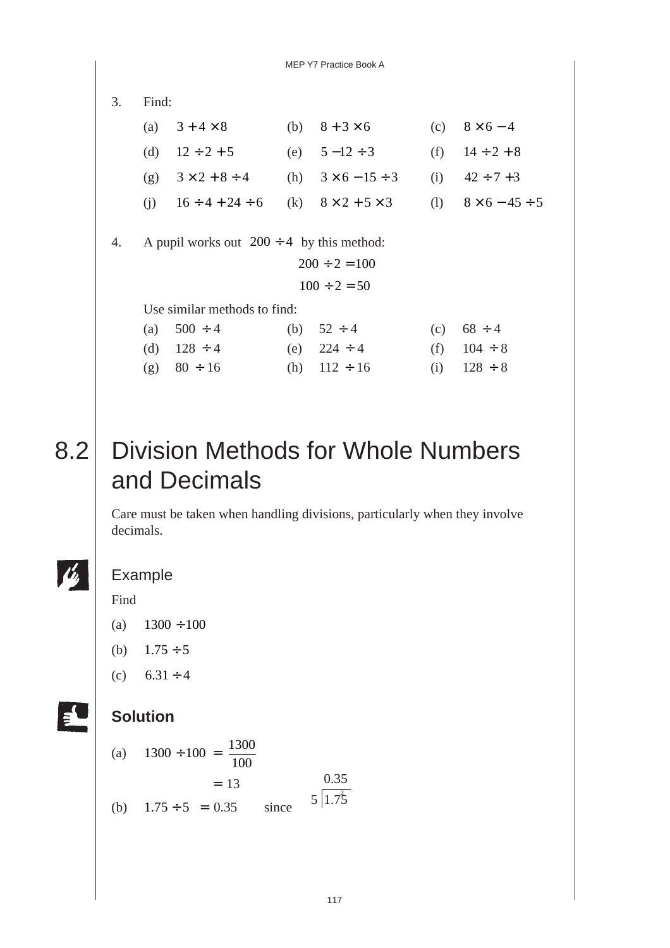3. Find: (a)  $3+4\times8$  (b)  $8+3\times6$  (c)  $8\times6-4$ (d)  $12 \div 2 + 5$  (e)  $5 - 12 \div 3$  (f)  $14 \div 2 + 8$ (g)  $3 \times 2 + 8 \div 4$  (h)  $3 \times 6 - 15 \div 3$  (i)  $42 \div 7 + 3$ (i)  $16 \div 4 + 24 \div 6$  (k)  $8 \times 2 + 5 \times 3$  (l)  $8 \times 6 - 45 \div 5$ 4. A pupil works out  $200 \div 4$  by this method:  $200 \div 2 = 100$  $100 \div 2 = 50$ Use similar methods to find: (a)  $500 \div 4$  (b)  $52 \div 4$  (c)  $68 \div 4$ (d)  $128 \div 4$  (e)  $224 \div 4$  (f)  $104 \div 8$ (g)  $80 \div 16$  (h)  $112 \div 16$  (i)  $128 \div 8$ 

# 8.2 Division Methods for Whole Numbers and Decimals

Care must be taken when handling divisions, particularly when they involve decimals.

#### Example

Find

- (a)  $1300 \div 100$
- (b)  $1.75 \div 5$
- (c)  $6.31 \div 4$

### **Solution**

(a) 
$$
1300 \div 100 = \frac{1300}{100}
$$
  
= 13  
(b)  $1.75 \div 5 = 0.35$  since  $5 \overline{11.75}$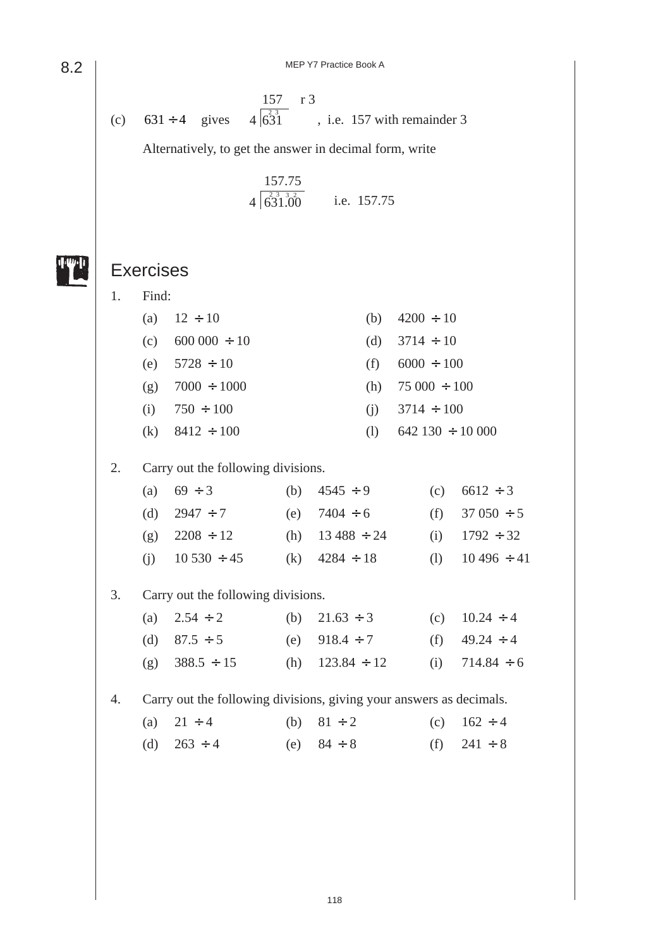MEP Y7 Practice Book A

157 r 3 (c)  $631 \div 4$  gives  $4\begin{pmatrix} 23 \\ 631 \end{pmatrix}$ , i.e. 157 with remainder 3

Alternatively, to get the answer in decimal form, write

i.e. 157.75 157.75  $4\sqrt{631.00}$ 

Exercises

8.2

1. Find: (a)  $12 \div 10$  (b)  $4200 \div 10$ (c)  $600\,000 \div 10$  (d)  $3714 \div 10$ (e)  $5728 \div 10$  (f)  $6000 \div 100$ (g)  $7000 \div 1000$  (h)  $75\,000 \div 100$ (i)  $750 \div 100$  (i)  $3714 \div 100$ (k)  $8412 \div 100$  (l)  $642\ 130 \div 10\ 000$ 2. Carry out the following divisions. (a)  $69 \div 3$  (b)  $4545 \div 9$  (c)  $6612 \div 3$ (d)  $2947 \div 7$  (e)  $7404 \div 6$  (f)  $37\,050 \div 5$ (g)  $2208 \div 12$  (h)  $13\,488 \div 24$  (i)  $1792 \div 32$ (i)  $10\,530 \div 45$  (k)  $4284 \div 18$  (l)  $10\,496 \div 41$ 3. Carry out the following divisions. (a)  $2.54 \div 2$  (b)  $21.63 \div 3$  (c)  $10.24 \div 4$ (d)  $87.5 \div 5$  (e)  $918.4 \div 7$  (f)  $49.24 \div 4$ (g)  $388.5 \div 15$  (h)  $123.84 \div 12$  (i)  $714.84 \div 6$ 4. Carry out the following divisions, giving your answers as decimals. (a)  $21 \div 4$  (b)  $81 \div 2$  (c)  $162 \div 4$ (d)  $263 \div 4$  (e)  $84 \div 8$  (f)  $241 \div 8$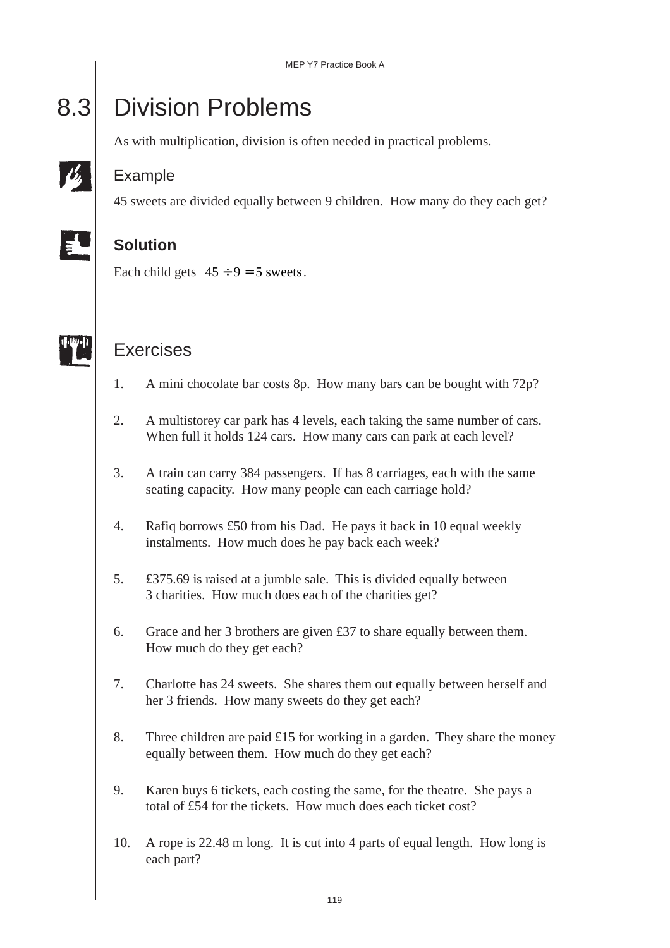# 8.3 Division Problems

As with multiplication, division is often needed in practical problems.

### Example

45 sweets are divided equally between 9 children. How many do they each get?

## **Solution**

Each child gets  $45 \div 9 = 5$  sweets.



## Exercises

- 1. A mini chocolate bar costs 8p. How many bars can be bought with 72p?
- 2. A multistorey car park has 4 levels, each taking the same number of cars. When full it holds 124 cars. How many cars can park at each level?
- 3. A train can carry 384 passengers. If has 8 carriages, each with the same seating capacity. How many people can each carriage hold?
- 4. Rafiq borrows £50 from his Dad. He pays it back in 10 equal weekly instalments. How much does he pay back each week?
- 5. £375.69 is raised at a jumble sale. This is divided equally between 3 charities. How much does each of the charities get?
- 6. Grace and her 3 brothers are given £37 to share equally between them. How much do they get each?
- 7. Charlotte has 24 sweets. She shares them out equally between herself and her 3 friends. How many sweets do they get each?
- 8. Three children are paid  $£15$  for working in a garden. They share the money equally between them. How much do they get each?
- 9. Karen buys 6 tickets, each costing the same, for the theatre. She pays a total of £54 for the tickets. How much does each ticket cost?
- 10. A rope is 22.48 m long. It is cut into 4 parts of equal length. How long is each part?